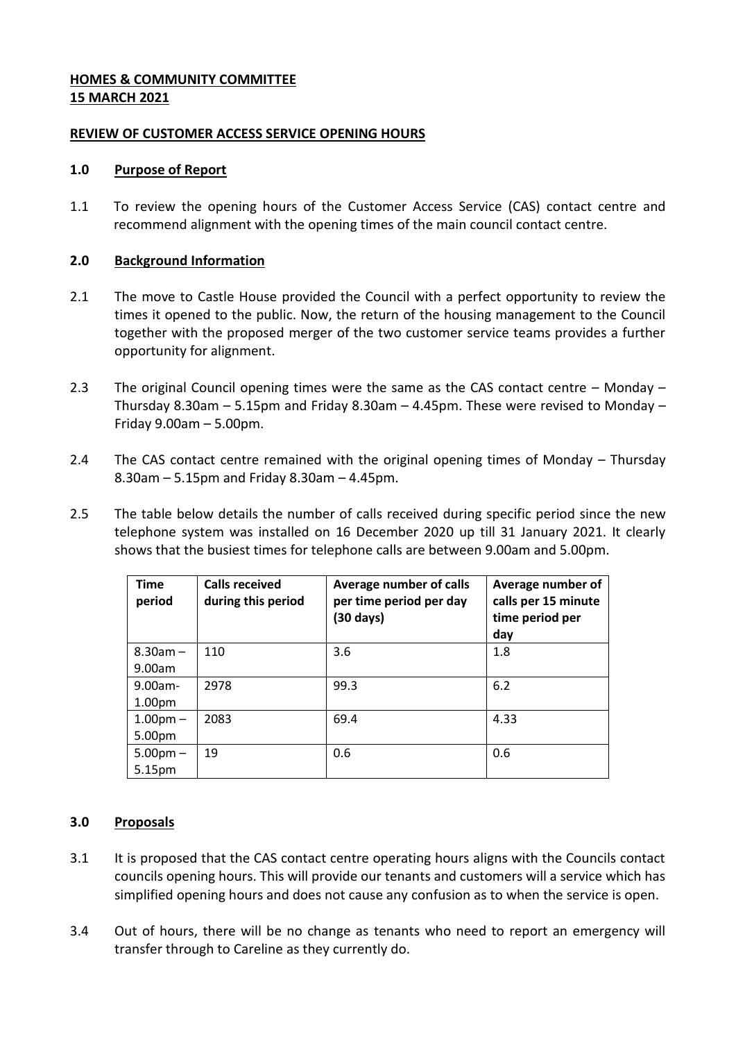# **HOMES & COMMUNITY COMMITTEE 15 MARCH 2021**

# **REVIEW OF CUSTOMER ACCESS SERVICE OPENING HOURS**

# **1.0 Purpose of Report**

1.1 To review the opening hours of the Customer Access Service (CAS) contact centre and recommend alignment with the opening times of the main council contact centre.

# **2.0 Background Information**

- 2.1 The move to Castle House provided the Council with a perfect opportunity to review the times it opened to the public. Now, the return of the housing management to the Council together with the proposed merger of the two customer service teams provides a further opportunity for alignment.
- 2.3 The original Council opening times were the same as the CAS contact centre Monday Thursday 8.30am – 5.15pm and Friday 8.30am – 4.45pm. These were revised to Monday – Friday 9.00am – 5.00pm.
- 2.4 The CAS contact centre remained with the original opening times of Monday Thursday 8.30am – 5.15pm and Friday 8.30am – 4.45pm.
- 2.5 The table below details the number of calls received during specific period since the new telephone system was installed on 16 December 2020 up till 31 January 2021. It clearly shows that the busiest times for telephone calls are between 9.00am and 5.00pm.

| <b>Time</b><br>period            | <b>Calls received</b><br>during this period | Average number of calls<br>per time period per day<br>(30 days) | Average number of<br>calls per 15 minute<br>time period per<br>day |
|----------------------------------|---------------------------------------------|-----------------------------------------------------------------|--------------------------------------------------------------------|
| $8.30$ am $-$<br>9.00am          | 110                                         | 3.6                                                             | 1.8                                                                |
| $9.00am -$<br>1.00 <sub>pm</sub> | 2978                                        | 99.3                                                            | 6.2                                                                |
| $1.00pm -$<br>5.00pm             | 2083                                        | 69.4                                                            | 4.33                                                               |
| $5.00$ pm $-$<br>5.15pm          | 19                                          | 0.6                                                             | 0.6                                                                |

# **3.0 Proposals**

- 3.1 It is proposed that the CAS contact centre operating hours aligns with the Councils contact councils opening hours. This will provide our tenants and customers will a service which has simplified opening hours and does not cause any confusion as to when the service is open.
- 3.4 Out of hours, there will be no change as tenants who need to report an emergency will transfer through to Careline as they currently do.